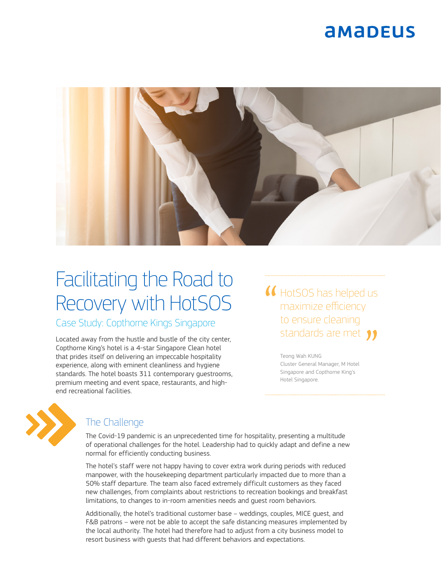### **AMADEUS**



# Facilitating the Road to Recovery with HotSOS

Case Study: Copthorne Kings Singapore

Located away from the hustle and bustle of the city center, Copthorne King's hotel is a 4-star Singapore Clean hotel that prides itself on delivering an impeccable hospitality experience, along with eminent cleanliness and hygiene standards. The hotel boasts 311 contemporary guestrooms, premium meeting and event space, restaurants, and highend recreational facilities.

HotSOS has helped us maximize efficiency to ensure cleaning standards are met 11

> Teong Wah KUNG Cluster General Manager, M Hotel Singapore and Copthorne King's Hotel Singapore.



### The Challenge

The Covid-19 pandemic is an unprecedented time for hospitality, presenting a multitude of operational challenges for the hotel. Leadership had to quickly adapt and define a new normal for efficiently conducting business.

The hotel's staff were not happy having to cover extra work during periods with reduced manpower, with the housekeeping department particularly impacted due to more than a 50% staff departure. The team also faced extremely difficult customers as they faced new challenges, from complaints about restrictions to recreation bookings and breakfast limitations, to changes to in-room amenities needs and guest room behaviors.

Additionally, the hotel's traditional customer base – weddings, couples, MICE guest, and F&B patrons – were not be able to accept the safe distancing measures implemented by the local authority. The hotel had therefore had to adjust from a city business model to resort business with guests that had different behaviors and expectations.